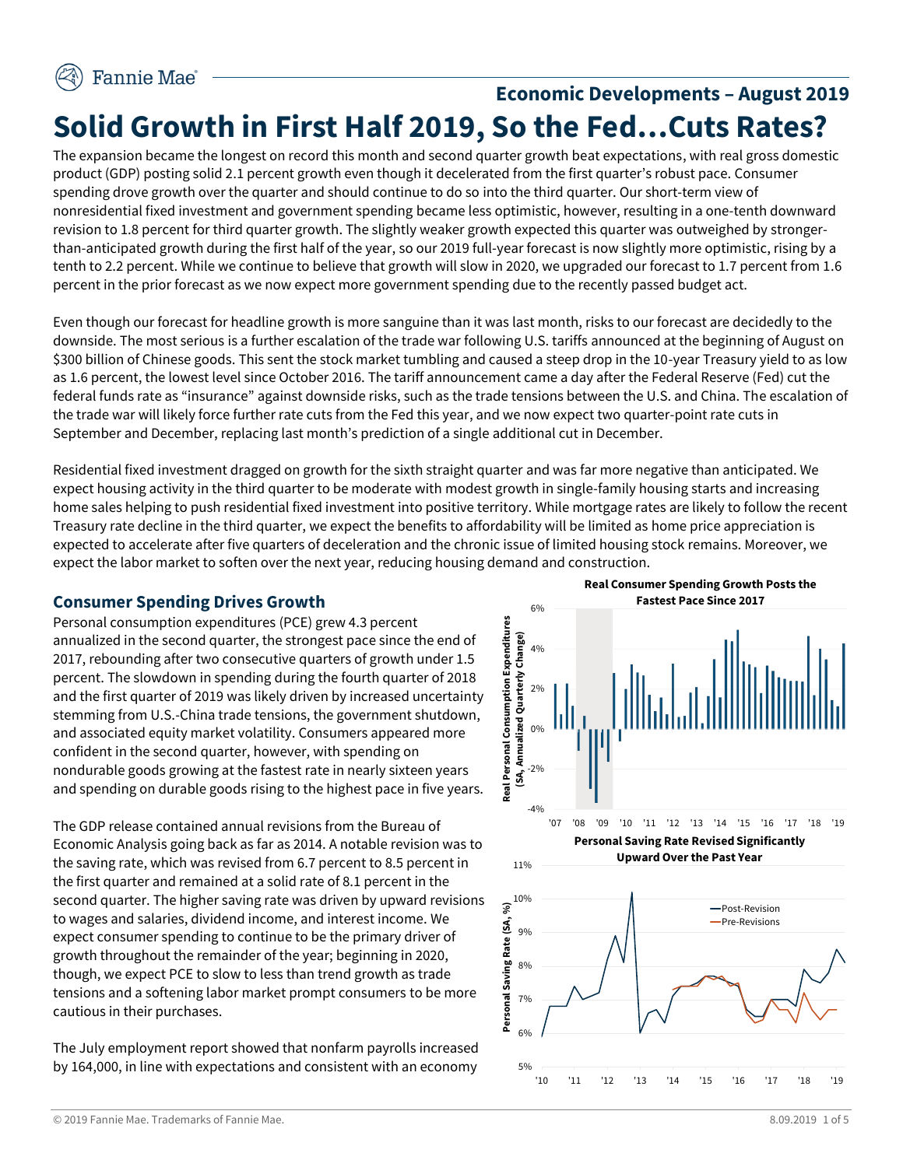# **Economic Developments – August 2019 Solid Growth in First Half 2019, So the Fed…Cuts Rates?**

The expansion became the longest on record this month and second quarter growth beat expectations, with real gross domestic product (GDP) posting solid 2.1 percent growth even though it decelerated from the first quarter's robust pace. Consumer spending drove growth over the quarter and should continue to do so into the third quarter. Our short-term view of nonresidential fixed investment and government spending became less optimistic, however, resulting in a one-tenth downward revision to 1.8 percent for third quarter growth. The slightly weaker growth expected this quarter was outweighed by strongerthan-anticipated growth during the first half of the year, so our 2019 full-year forecast is now slightly more optimistic, rising by a tenth to 2.2 percent. While we continue to believe that growth will slow in 2020, we upgraded our forecast to 1.7 percent from 1.6 percent in the prior forecast as we now expect more government spending due to the recently passed budget act.

Even though our forecast for headline growth is more sanguine than it was last month, risks to our forecast are decidedly to the downside. The most serious is a further escalation of the trade war following U.S. tariffs announced at the beginning of August on \$300 billion of Chinese goods. This sent the stock market tumbling and caused a steep drop in the 10-year Treasury yield to as low as 1.6 percent, the lowest level since October 2016. The tariff announcement came a day after the Federal Reserve (Fed) cut the federal funds rate as "insurance" against downside risks, such as the trade tensions between the U.S. and China. The escalation of the trade war will likely force further rate cuts from the Fed this year, and we now expect two quarter-point rate cuts in September and December, replacing last month's prediction of a single additional cut in December.

Residential fixed investment dragged on growth for the sixth straight quarter and was far more negative than anticipated. We expect housing activity in the third quarter to be moderate with modest growth in single-family housing starts and increasing home sales helping to push residential fixed investment into positive territory. While mortgage rates are likely to follow the recent Treasury rate decline in the third quarter, we expect the benefits to affordability will be limited as home price appreciation is expected to accelerate after five quarters of deceleration and the chronic issue of limited housing stock remains. Moreover, we expect the labor market to soften over the next year, reducing housing demand and construction.

## **Consumer Spending Drives Growth**

Personal consumption expenditures (PCE) grew 4.3 percent annualized in the second quarter, the strongest pace since the end of 2017, rebounding after two consecutive quarters of growth under 1.5 percent. The slowdown in spending during the fourth quarter of 2018 and the first quarter of 2019 was likely driven by increased uncertainty stemming from U.S.-China trade tensions, the government shutdown, and associated equity market volatility. Consumers appeared more confident in the second quarter, however, with spending on nondurable goods growing at the fastest rate in nearly sixteen years and spending on durable goods rising to the highest pace in five years.

The GDP release contained annual revisions from the Bureau of Economic Analysis going back as far as 2014. A notable revision was to the saving rate, which was revised from 6.7 percent to 8.5 percent in the first quarter and remained at a solid rate of 8.1 percent in the second quarter. The higher saving rate was driven by upward revisions to wages and salaries, dividend income, and interest income. We expect consumer spending to continue to be the primary driver of growth throughout the remainder of the year; beginning in 2020, though, we expect PCE to slow to less than trend growth as trade tensions and a softening labor market prompt consumers to be more cautious in their purchases.

The July employment report showed that nonfarm payrolls increased by 164,000, in line with expectations and consistent with an economy  $5\%$  -

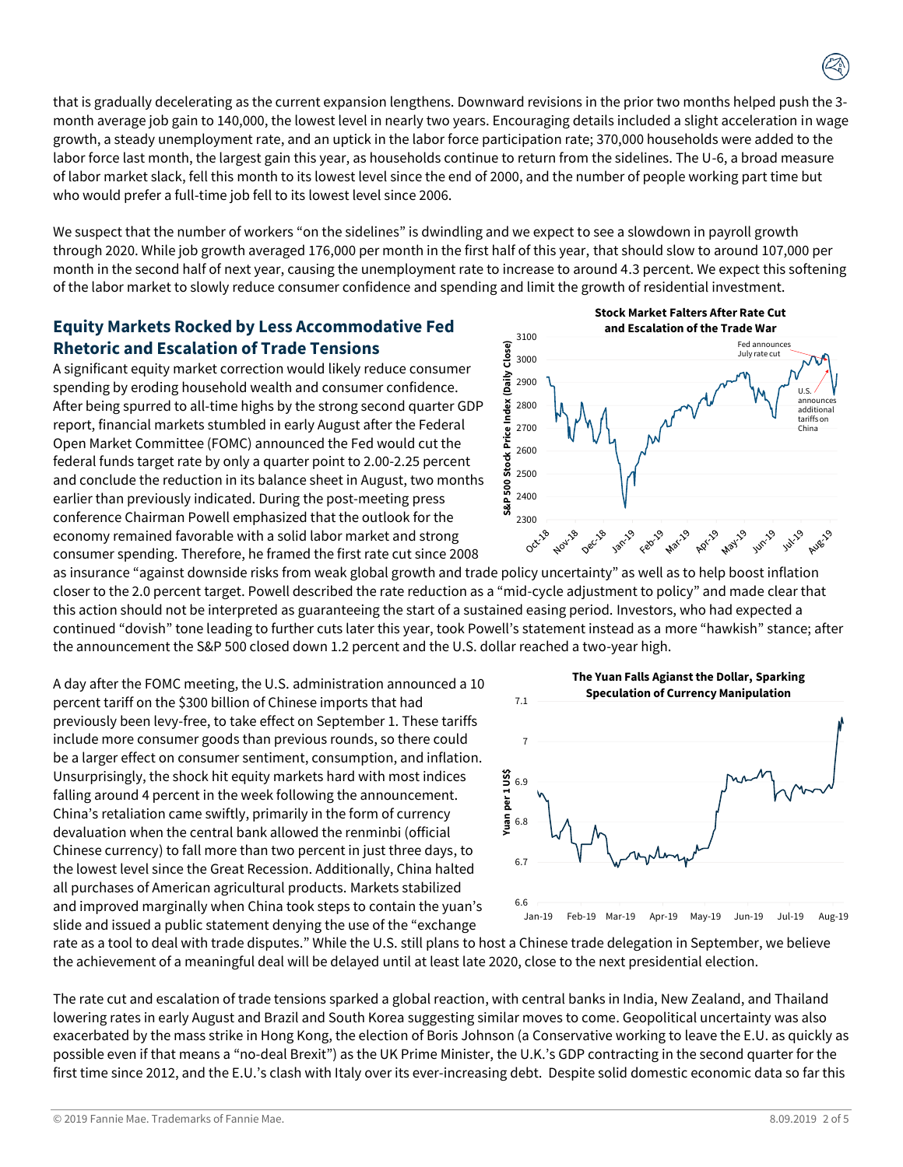that is gradually decelerating as the current expansion lengthens. Downward revisions in the prior two months helped push the 3 month average job gain to 140,000, the lowest level in nearly two years. Encouraging details included a slight acceleration in wage growth, a steady unemployment rate, and an uptick in the labor force participation rate; 370,000 households were added to the labor force last month, the largest gain this year, as households continue to return from the sidelines. The U-6, a broad measure of labor market slack, fell this month to its lowest level since the end of 2000, and the number of people working part time but who would prefer a full-time job fell to its lowest level since 2006.

We suspect that the number of workers "on the sidelines" is dwindling and we expect to see a slowdown in payroll growth through 2020. While job growth averaged 176,000 per month in the first half of this year, that should slow to around 107,000 per month in the second half of next year, causing the unemployment rate to increase to around 4.3 percent. We expect this softening of the labor market to slowly reduce consumer confidence and spending and limit the growth of residential investment.

# **Equity Markets Rocked by Less Accommodative Fed Rhetoric and Escalation of Trade Tensions**

A significant equity market correction would likely reduce consumer spending by eroding household wealth and consumer confidence. After being spurred to all-time highs by the strong second quarter GDP report, financial markets stumbled in early August after the Federal Open Market Committee (FOMC) announced the Fed would cut the federal funds target rate by only a quarter point to 2.00-2.25 percent and conclude the reduction in its balance sheet in August, two months earlier than previously indicated. During the post-meeting press conference Chairman Powell emphasized that the outlook for the economy remained favorable with a solid labor market and strong consumer spending. Therefore, he framed the first rate cut since 2008



**Stock Market Falters After Rate Cut** 

as insurance "against downside risks from weak global growth and trade policy uncertainty" as well as to help boost inflation closer to the 2.0 percent target. Powell described the rate reduction as a "mid-cycle adjustment to policy" and made clear that this action should not be interpreted as guaranteeing the start of a sustained easing period. Investors, who had expected a continued "dovish" tone leading to further cuts later this year, took Powell's statement instead as a more "hawkish" stance; after the announcement the S&P 500 closed down 1.2 percent and the U.S. dollar reached a two-year high.

A day after the FOMC meeting, the U.S. administration announced a 10 percent tariff on the \$300 billion of Chinese imports that had previously been levy-free, to take effect on September 1. These tariffs include more consumer goods than previous rounds, so there could be a larger effect on consumer sentiment, consumption, and inflation. Unsurprisingly, the shock hit equity markets hard with most indices falling around 4 percent in the week following the announcement. China's retaliation came swiftly, primarily in the form of currency devaluation when the central bank allowed the renminbi (official Chinese currency) to fall more than two percent in just three days, to the lowest level since the Great Recession. Additionally, China halted all purchases of American agricultural products. Markets stabilized and improved marginally when China took steps to contain the yuan's slide and issued a public statement denying the use of the "exchange



rate as a tool to deal with trade disputes." While the U.S. still plans to host a Chinese trade delegation in September, we believe the achievement of a meaningful deal will be delayed until at least late 2020, close to the next presidential election.

The rate cut and escalation of trade tensions sparked a global reaction, with central banks in India, New Zealand, and Thailand lowering rates in early August and Brazil and South Korea suggesting similar moves to come. Geopolitical uncertainty was also exacerbated by the mass strike in Hong Kong, the election of Boris Johnson (a Conservative working to leave the E.U. as quickly as possible even if that means a "no-deal Brexit") as the UK Prime Minister, the U.K.'s GDP contracting in the second quarter for the first time since 2012, and the E.U.'s clash with Italy over its ever-increasing debt. Despite solid domestic economic data so far this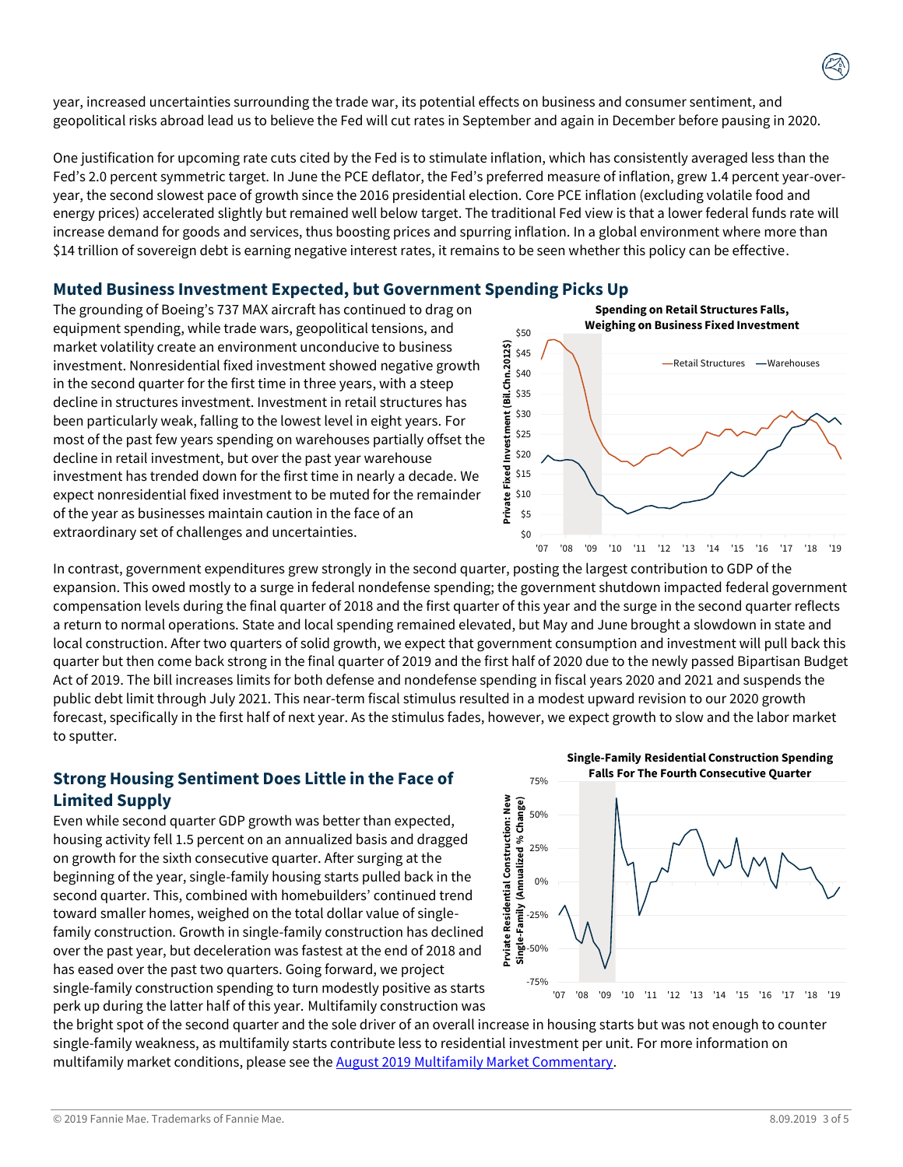year, increased uncertainties surrounding the trade war, its potential effects on business and consumer sentiment, and geopolitical risks abroad lead us to believe the Fed will cut rates in September and again in December before pausing in 2020.

One justification for upcoming rate cuts cited by the Fed is to stimulate inflation, which has consistently averaged less than the Fed's 2.0 percent symmetric target. In June the PCE deflator, the Fed's preferred measure of inflation, grew 1.4 percent year-overyear, the second slowest pace of growth since the 2016 presidential election. Core PCE inflation (excluding volatile food and energy prices) accelerated slightly but remained well below target. The traditional Fed view is that a lower federal funds rate will increase demand for goods and services, thus boosting prices and spurring inflation. In a global environment where more than \$14 trillion of sovereign debt is earning negative interest rates, it remains to be seen whether this policy can be effective.

## **Muted Business Investment Expected, but Government Spending Picks Up**

The grounding of Boeing's 737 MAX aircraft has continued to drag on equipment spending, while trade wars, geopolitical tensions, and market volatility create an environment unconducive to business investment. Nonresidential fixed investment showed negative growth in the second quarter for the first time in three years, with a steep decline in structures investment. Investment in retail structures has been particularly weak, falling to the lowest level in eight years. For most of the past few years spending on warehouses partially offset the decline in retail investment, but over the past year warehouse investment has trended down for the first time in nearly a decade. We expect nonresidential fixed investment to be muted for the remainder of the year as businesses maintain caution in the face of an extraordinary set of challenges and uncertainties.





In contrast, government expenditures grew strongly in the second quarter, posting the largest contribution to GDP of the expansion. This owed mostly to a surge in federal nondefense spending; the government shutdown impacted federal government compensation levels during the final quarter of 2018 and the first quarter of this year and the surge in the second quarter reflects a return to normal operations. State and local spending remained elevated, but May and June brought a slowdown in state and local construction. After two quarters of solid growth, we expect that government consumption and investment will pull back this quarter but then come back strong in the final quarter of 2019 and the first half of 2020 due to the newly passed Bipartisan Budget Act of 2019. The bill increases limits for both defense and nondefense spending in fiscal years 2020 and 2021 and suspends the public debt limit through July 2021. This near-term fiscal stimulus resulted in a modest upward revision to our 2020 growth forecast, specifically in the first half of next year. As the stimulus fades, however, we expect growth to slow and the labor market to sputter.

# **Strong Housing Sentiment Does Little in the Face of Limited Supply**

Even while second quarter GDP growth was better than expected, housing activity fell 1.5 percent on an annualized basis and dragged on growth for the sixth consecutive quarter. After surging at the beginning of the year, single-family housing starts pulled back in the second quarter. This, combined with homebuilders' continued trend toward smaller homes, weighed on the total dollar value of singlefamily construction. Growth in single-family construction has declined over the past year, but deceleration was fastest at the end of 2018 and has eased over the past two quarters. Going forward, we project single-family construction spending to turn modestly positive as starts perk up during the latter half of this year. Multifamily construction was





the bright spot of the second quarter and the sole driver of an overall increase in housing starts but was not enough to counter single-family weakness, as multifamily starts contribute less to residential investment per unit. For more information on multifamily market conditions, please see the [August 2019 Multifamily Market Commentary.](http://www.fanniemae.com/resources/file/research/emma/pdf/MF_Market_Commentary_081519.pdf)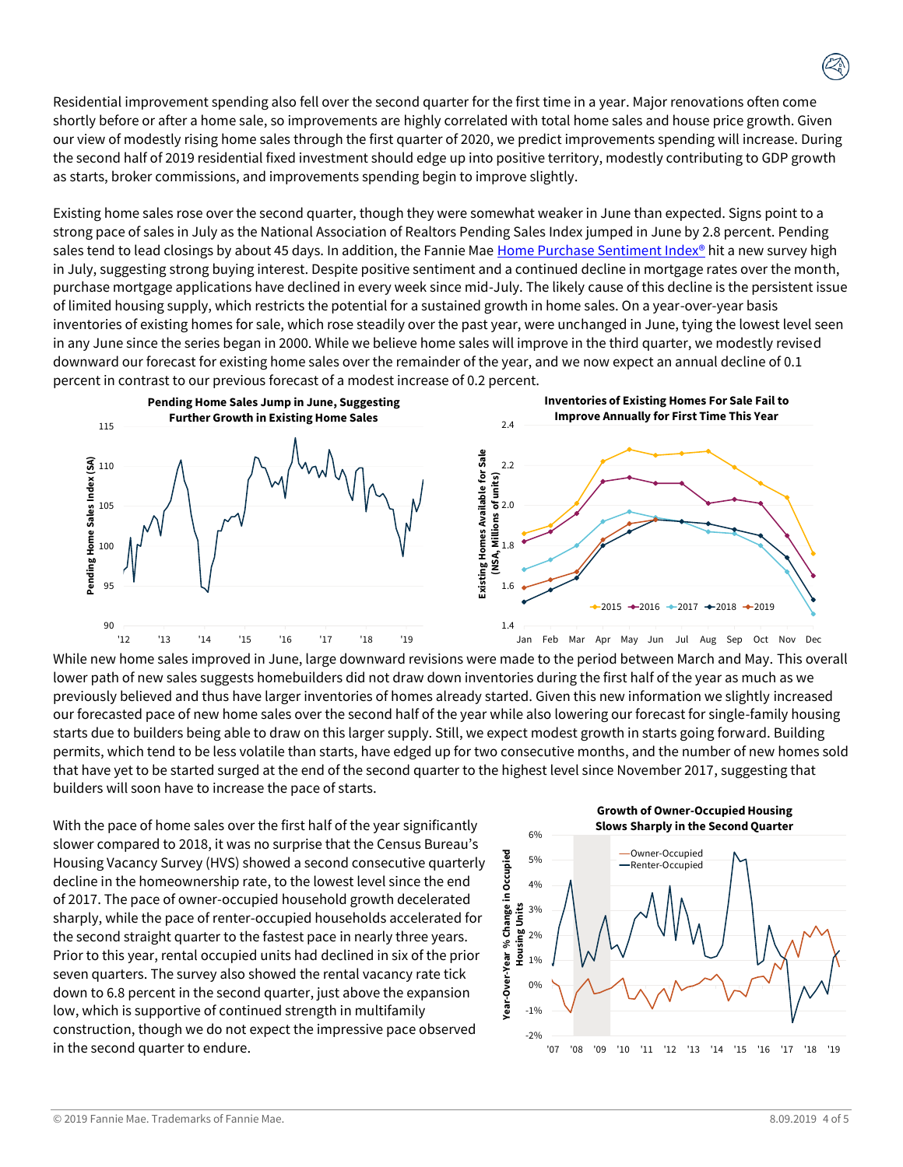Residential improvement spending also fell over the second quarter for the first time in a year. Major renovations often come shortly before or after a home sale, so improvements are highly correlated with total home sales and house price growth. Given our view of modestly rising home sales through the first quarter of 2020, we predict improvements spending will increase. During the second half of 2019 residential fixed investment should edge up into positive territory, modestly contributing to GDP growth as starts, broker commissions, and improvements spending begin to improve slightly.

Existing home sales rose over the second quarter, though they were somewhat weaker in June than expected. Signs point to a strong pace of sales in July as the National Association of Realtors Pending Sales Index jumped in June by 2.8 percent. Pending sales tend to lead closings by about 45 days. In addition, the Fannie Mae Home [Purchase Sentiment Index®](https://www.fanniemae.com/portal/research-insights/surveys/national-housing-survey.html) hit a new survey high in July, suggesting strong buying interest. Despite positive sentiment and a continued decline in mortgage rates over the month, purchase mortgage applications have declined in every week since mid-July. The likely cause of this decline is the persistent issue of limited housing supply, which restricts the potential for a sustained growth in home sales. On a year-over-year basis inventories of existing homes for sale, which rose steadily over the past year, were unchanged in June, tying the lowest level seen in any June since the series began in 2000. While we believe home sales will improve in the third quarter, we modestly revised downward our forecast for existing home sales over the remainder of the year, and we now expect an annual decline of 0.1 percent in contrast to our previous forecast of a modest increase of 0.2 percent.



While new home sales improved in June, large downward revisions were made to the period between March and May. This overall lower path of new sales suggests homebuilders did not draw down inventories during the first half of the year as much as we previously believed and thus have larger inventories of homes already started. Given this new information we slightly increased our forecasted pace of new home sales over the second half of the year while also lowering our forecast for single-family housing starts due to builders being able to draw on this larger supply. Still, we expect modest growth in starts going forward. Building permits, which tend to be less volatile than starts, have edged up for two consecutive months, and the number of new homes sold that have yet to be started surged at the end of the second quarter to the highest level since November 2017, suggesting that builders will soon have to increase the pace of starts.

With the pace of home sales over the first half of the year significantly slower compared to 2018, it was no surprise that the Census Bureau's Housing Vacancy Survey (HVS) showed a second consecutive quarterly decline in the homeownership rate, to the lowest level since the end of 2017. The pace of owner-occupied household growth decelerated sharply, while the pace of renter-occupied households accelerated for the second straight quarter to the fastest pace in nearly three years. Prior to this year, rental occupied units had declined in six of the prior seven quarters. The survey also showed the rental vacancy rate tick down to 6.8 percent in the second quarter, just above the expansion low, which is supportive of continued strength in multifamily construction, though we do not expect the impressive pace observed in the second quarter to endure.